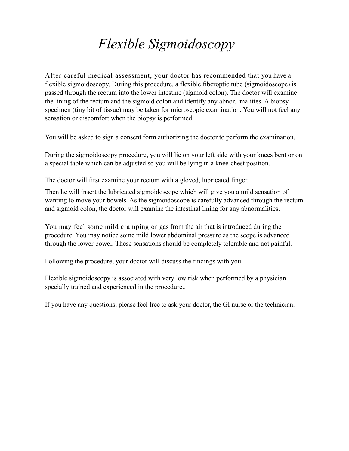## *Flexible Sigmoidoscopy*

After careful medical assessment, your doctor has recommended that you have a flexible sigmoidoscopy. During this procedure, a flexible fiberoptic tube (sigmoidoscope) is passed through the rectum into the lower intestine (sigmoid colon). The doctor will examine the lining of the rectum and the sigmoid colon and identify any abnor.. malities. A biopsy specimen (tiny bit of tissue) may be taken for microscopic examination. You will not feel any sensation or discomfort when the biopsy is performed.

You will be asked to sign a consent form authorizing the doctor to perform the examination.

During the sigmoidoscopy procedure, you will lie on your left side with your knees bent or on a special table which can be adjusted so you will be lying in a knee-chest position.

The doctor will first examine your rectum with a gloved, lubricated finger.

Then he will insert the lubricated sigmoidoscope which will give you a mild sensation of wanting to move your bowels. As the sigmoidoscope is carefully advanced through the rectum and sigmoid colon, the doctor will examine the intestinal lining for any abnormalities.

You may feel some mild cramping or gas from the air that is introduced during the procedure. You may notice some mild lower abdominal pressure as the scope is advanced through the lower bowel. These sensations should be completely tolerable and not painful.

Following the procedure, your doctor will discuss the findings with you.

Flexible sigmoidoscopy is associated with very low risk when performed by a physician specially trained and experienced in the procedure..

If you have any questions, please feel free to ask your doctor, the GI nurse or the technician.